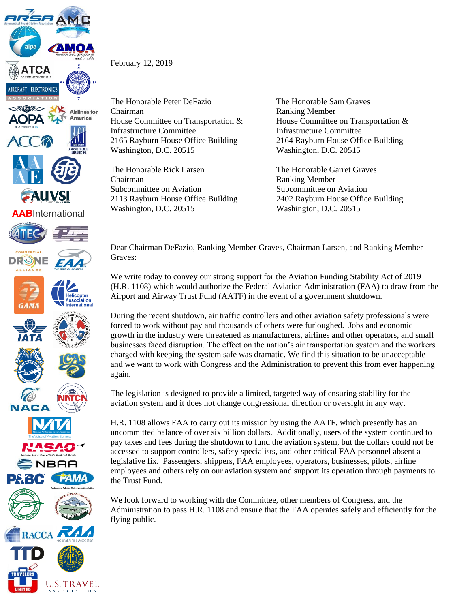

**U.S. TRAVEL** A S S O C I A T I O N

February 12, 2019

The Honorable Peter DeFazio The Honorable Sam Graves Chairman Ranking Member House Committee on Transportation & House Committee on Transportation & Infrastructure Committee Infrastructure Committee 2165 Rayburn House Office Building 2164 Rayburn House Office Building Washington, D.C. 20515 Washington, D.C. 20515

The Honorable Rick Larsen The Honorable Garret Graves Chairman Ranking Member Subcommittee on Aviation Subcommittee on Aviation Washington, D.C. 20515 Washington, D.C. 20515

2113 Rayburn House Office Building 2402 Rayburn House Office Building

Dear Chairman DeFazio, Ranking Member Graves, Chairman Larsen, and Ranking Member Graves:

We write today to convey our strong support for the Aviation Funding Stability Act of 2019 (H.R. 1108) which would authorize the Federal Aviation Administration (FAA) to draw from the Airport and Airway Trust Fund (AATF) in the event of a government shutdown.

During the recent shutdown, air traffic controllers and other aviation safety professionals were forced to work without pay and thousands of others were furloughed. Jobs and economic growth in the industry were threatened as manufacturers, airlines and other operators, and small businesses faced disruption. The effect on the nation's air transportation system and the workers charged with keeping the system safe was dramatic. We find this situation to be unacceptable and we want to work with Congress and the Administration to prevent this from ever happening again.

The legislation is designed to provide a limited, targeted way of ensuring stability for the aviation system and it does not change congressional direction or oversight in any way.

H.R. 1108 allows FAA to carry out its mission by using the AATF, which presently has an uncommitted balance of over six billion dollars. Additionally, users of the system continued to pay taxes and fees during the shutdown to fund the aviation system, but the dollars could not be accessed to support controllers, safety specialists, and other critical FAA personnel absent a legislative fix. Passengers, shippers, FAA employees, operators, businesses, pilots, airline employees and others rely on our aviation system and support its operation through payments to the Trust Fund.

We look forward to working with the Committee, other members of Congress, and the Administration to pass H.R. 1108 and ensure that the FAA operates safely and efficiently for the flying public.